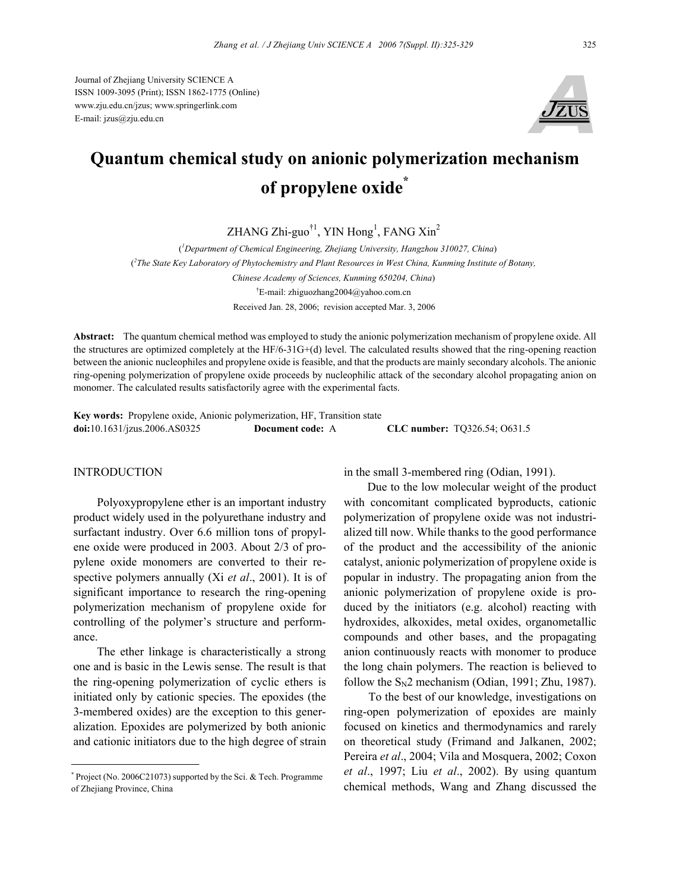Journal of Zhejiang University SCIENCE A ISSN 1009-3095 (Print); ISSN 1862-1775 (Online) www.zju.edu.cn/jzus; www.springerlink.com E-mail: jzus@zju.edu.cn



# **Quantum chemical study on anionic polymerization mechanism of propylene oxide\***

 $ZHANG Zhi-guo<sup>†1</sup>, YIN Hong<sup>1</sup>, FANG Xin<sup>2</sup>$ 

( *1 Department of Chemical Engineering, Zhejiang University, Hangzhou 310027, China*) ( *2 The State Key Laboratory of Phytochemistry and Plant Resources in West China, Kunming Institute of Botany, Chinese Academy of Sciences, Kunming 650204, China*) † E-mail: zhiguozhang2004@yahoo.com.cn Received Jan. 28, 2006; revision accepted Mar. 3, 2006

**Abstract:** The quantum chemical method was employed to study the anionic polymerization mechanism of propylene oxide. All the structures are optimized completely at the HF/6-31G+(d) level. The calculated results showed that the ring-opening reaction between the anionic nucleophiles and propylene oxide is feasible, and that the products are mainly secondary alcohols. The anionic ring-opening polymerization of propylene oxide proceeds by nucleophilic attack of the secondary alcohol propagating anion on monomer. The calculated results satisfactorily agree with the experimental facts.

**Key words:** Propylene oxide, Anionic polymerization, HF, Transition state **doi:**10.1631/jzus.2006.AS0325 **Document code:** A **CLC number:** TQ326.54; O631.5

## **INTRODUCTION**

Polyoxypropylene ether is an important industry product widely used in the polyurethane industry and surfactant industry. Over 6.6 million tons of propylene oxide were produced in 2003. About 2/3 of propylene oxide monomers are converted to their respective polymers annually (Xi *et al*., 2001). It is of significant importance to research the ring-opening polymerization mechanism of propylene oxide for controlling of the polymer's structure and performance.

The ether linkage is characteristically a strong one and is basic in the Lewis sense. The result is that the ring-opening polymerization of cyclic ethers is initiated only by cationic species. The epoxides (the 3-membered oxides) are the exception to this generalization. Epoxides are polymerized by both anionic and cationic initiators due to the high degree of strain

in the small 3-membered ring (Odian, 1991).

Due to the low molecular weight of the product with concomitant complicated byproducts, cationic polymerization of propylene oxide was not industrialized till now. While thanks to the good performance of the product and the accessibility of the anionic catalyst, anionic polymerization of propylene oxide is popular in industry. The propagating anion from the anionic polymerization of propylene oxide is produced by the initiators (e.g. alcohol) reacting with hydroxides, alkoxides, metal oxides, organometallic compounds and other bases, and the propagating anion continuously reacts with monomer to produce the long chain polymers. The reaction is believed to follow the  $S_N2$  mechanism (Odian, 1991; Zhu, 1987).

To the best of our knowledge, investigations on ring-open polymerization of epoxides are mainly focused on kinetics and thermodynamics and rarely on theoretical study (Frimand and Jalkanen, 2002; Pereira *et al*., 2004; Vila and Mosquera, 2002; Coxon *et al*., 1997; Liu *et al*., 2002). By using quantum chemical methods, Wang and Zhang discussed the

<sup>\*</sup> Project (No. 2006C21073) supported by the Sci. & Tech. Programme of Zhejiang Province, China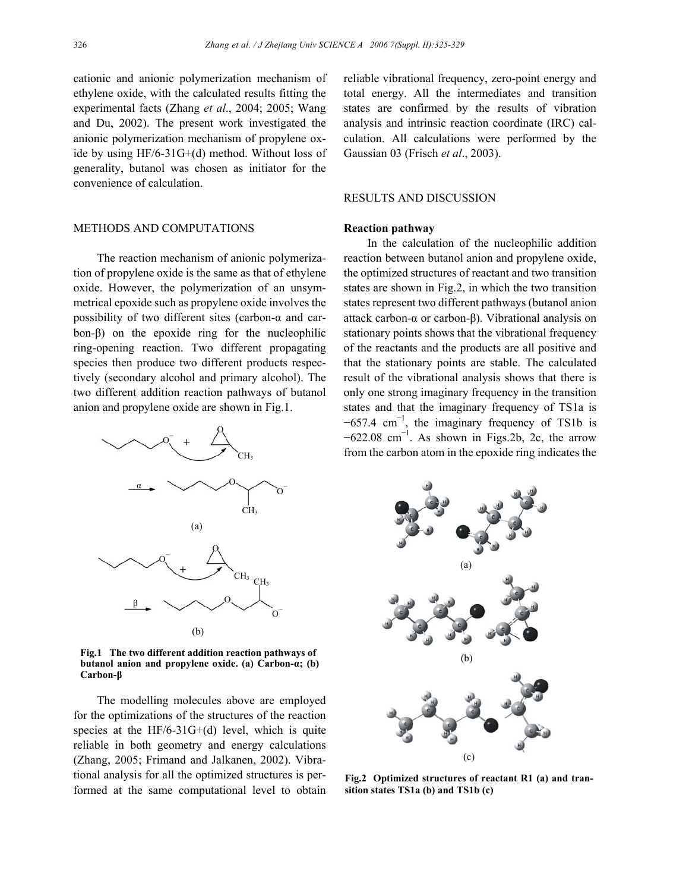cationic and anionic polymerization mechanism of ethylene oxide, with the calculated results fitting the experimental facts (Zhang *et al*., 2004; 2005; Wang and Du, 2002). The present work investigated the anionic polymerization mechanism of propylene oxide by using HF/6-31G+(d) method. Without loss of generality, butanol was chosen as initiator for the convenience of calculation.

## METHODS AND COMPUTATIONS

The reaction mechanism of anionic polymerization of propylene oxide is the same as that of ethylene oxide. However, the polymerization of an unsymmetrical epoxide such as propylene oxide involves the possibility of two different sites (carbon-α and carbon-β) on the epoxide ring for the nucleophilic ring-opening reaction. Two different propagating species then produce two different products respectively (secondary alcohol and primary alcohol). The two different addition reaction pathways of butanol anion and propylene oxide are shown in Fig.1.



**Fig.1 The two different addition reaction pathways of butanol anion and propylene oxide. (a) Carbon-α; (b) Carbon-β**

The modelling molecules above are employed for the optimizations of the structures of the reaction species at the  $HF/6-31G+(d)$  level, which is quite reliable in both geometry and energy calculations (Zhang, 2005; Frimand and Jalkanen, 2002). Vibrational analysis for all the optimized structures is performed at the same computational level to obtain reliable vibrational frequency, zero-point energy and total energy. All the intermediates and transition states are confirmed by the results of vibration analysis and intrinsic reaction coordinate (IRC) calculation. All calculations were performed by the Gaussian 03 (Frisch *et al*., 2003).

# RESULTS AND DISCUSSION

#### **Reaction pathway**

In the calculation of the nucleophilic addition reaction between butanol anion and propylene oxide, the optimized structures of reactant and two transition states are shown in Fig.2, in which the two transition states represent two different pathways (butanol anion attack carbon-α or carbon-β). Vibrational analysis on stationary points shows that the vibrational frequency of the reactants and the products are all positive and that the stationary points are stable. The calculated result of the vibrational analysis shows that there is only one strong imaginary frequency in the transition states and that the imaginary frequency of TS1a is  $-657.4$  cm<sup>-1</sup>, the imaginary frequency of TS1b is  $-622.08$  cm<sup>-1</sup>. As shown in Figs.2b, 2c, the arrow from the carbon atom in the epoxide ring indicates the



**Fig.2 Optimized structures of reactant R1 (a) and transition states TS1a (b) and TS1b (c)**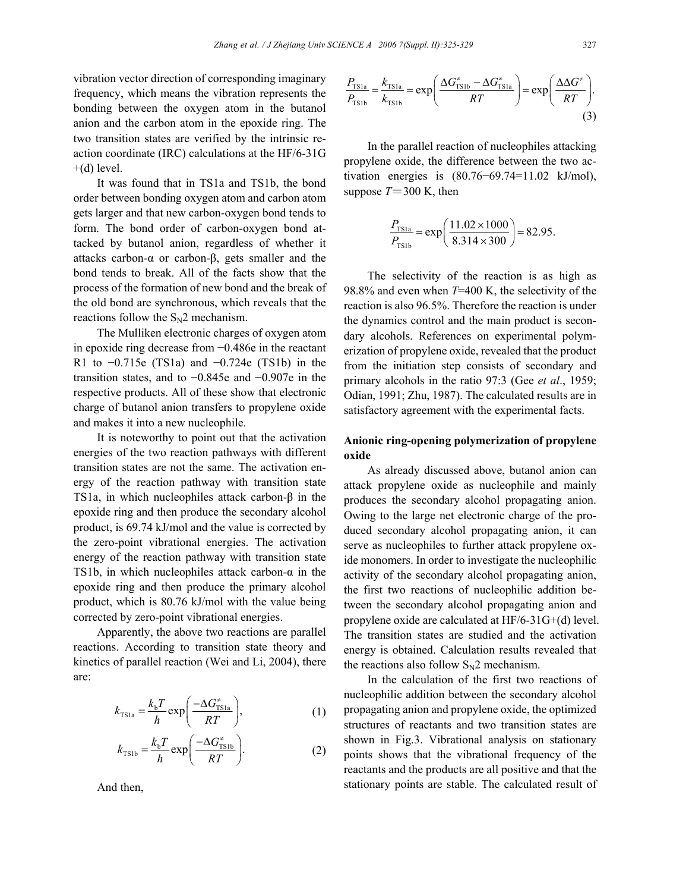vibration vector direction of corresponding imaginary frequency, which means the vibration represents the bonding between the oxygen atom in the butanol anion and the carbon atom in the epoxide ring. The two transition states are verified by the intrinsic reaction coordinate (IRC) calculations at the HF/6-31G  $+(d)$  level.

It was found that in TS1a and TS1b, the bond order between bonding oxygen atom and carbon atom gets larger and that new carbon-oxygen bond tends to form. The bond order of carbon-oxygen bond attacked by butanol anion, regardless of whether it attacks carbon-α or carbon-β, gets smaller and the bond tends to break. All of the facts show that the process of the formation of new bond and the break of the old bond are synchronous, which reveals that the reactions follow the  $S_N2$  mechanism.

The Mulliken electronic charges of oxygen atom in epoxide ring decrease from −0.486e in the reactant R1 to −0.715e (TS1a) and −0.724e (TS1b) in the transition states, and to −0.845e and −0.907e in the respective products. All of these show that electronic charge of butanol anion transfers to propylene oxide and makes it into a new nucleophile.

It is noteworthy to point out that the activation energies of the two reaction pathways with different transition states are not the same. The activation energy of the reaction pathway with transition state TS1a, in which nucleophiles attack carbon-β in the epoxide ring and then produce the secondary alcohol product, is 69.74 kJ/mol and the value is corrected by the zero-point vibrational energies. The activation energy of the reaction pathway with transition state TS1b, in which nucleophiles attack carbon- $\alpha$  in the epoxide ring and then produce the primary alcohol product, which is 80.76 kJ/mol with the value being corrected by zero-point vibrational energies.

Apparently, the above two reactions are parallel reactions. According to transition state theory and kinetics of parallel reaction (Wei and Li, 2004), there are:

$$
k_{\text{TS1a}} = \frac{k_{\text{b}}T}{h} \exp\left(\frac{-\Delta G_{\text{TS1a}}^*}{RT}\right),\tag{1}
$$

$$
k_{\text{TS1b}} = \frac{k_{\text{b}}T}{h} \exp\left(\frac{-\Delta G_{\text{TS1b}}^2}{RT}\right). \tag{2}
$$

And then,

$$
\frac{P_{\text{TS1a}}}{P_{\text{TS1b}}} = \frac{k_{\text{TS1a}}}{k_{\text{TS1b}}} = \exp\left(\frac{\Delta G_{\text{TS1b}}^* - \Delta G_{\text{TS1a}}^*}{RT}\right) = \exp\left(\frac{\Delta \Delta G^*}{RT}\right). \tag{3}
$$

In the parallel reaction of nucleophiles attacking propylene oxide, the difference between the two activation energies is (80.76−69.74=11.02 kJ/mol), suppose  $T = 300$  K, then

$$
\frac{P_{\text{TS1a}}}{P_{\text{TS1b}}} = \exp\left(\frac{11.02 \times 1000}{8.314 \times 300}\right) = 82.95.
$$

The selectivity of the reaction is as high as 98.8% and even when *T*=400 K, the selectivity of the reaction is also 96.5%. Therefore the reaction is under the dynamics control and the main product is secondary alcohols. References on experimental polymerization of propylene oxide, revealed that the product from the initiation step consists of secondary and primary alcohols in the ratio 97:3 (Gee *et al*., 1959; Odian, 1991; Zhu, 1987). The calculated results are in satisfactory agreement with the experimental facts.

# **Anionic ring-opening polymerization of propylene oxide**

As already discussed above, butanol anion can attack propylene oxide as nucleophile and mainly produces the secondary alcohol propagating anion. Owing to the large net electronic charge of the produced secondary alcohol propagating anion, it can serve as nucleophiles to further attack propylene oxide monomers. In order to investigate the nucleophilic activity of the secondary alcohol propagating anion, the first two reactions of nucleophilic addition between the secondary alcohol propagating anion and propylene oxide are calculated at HF/6-31G+(d) level. The transition states are studied and the activation energy is obtained. Calculation results revealed that the reactions also follow  $S_N2$  mechanism.

In the calculation of the first two reactions of nucleophilic addition between the secondary alcohol propagating anion and propylene oxide, the optimized structures of reactants and two transition states are shown in Fig.3. Vibrational analysis on stationary points shows that the vibrational frequency of the reactants and the products are all positive and that the stationary points are stable. The calculated result of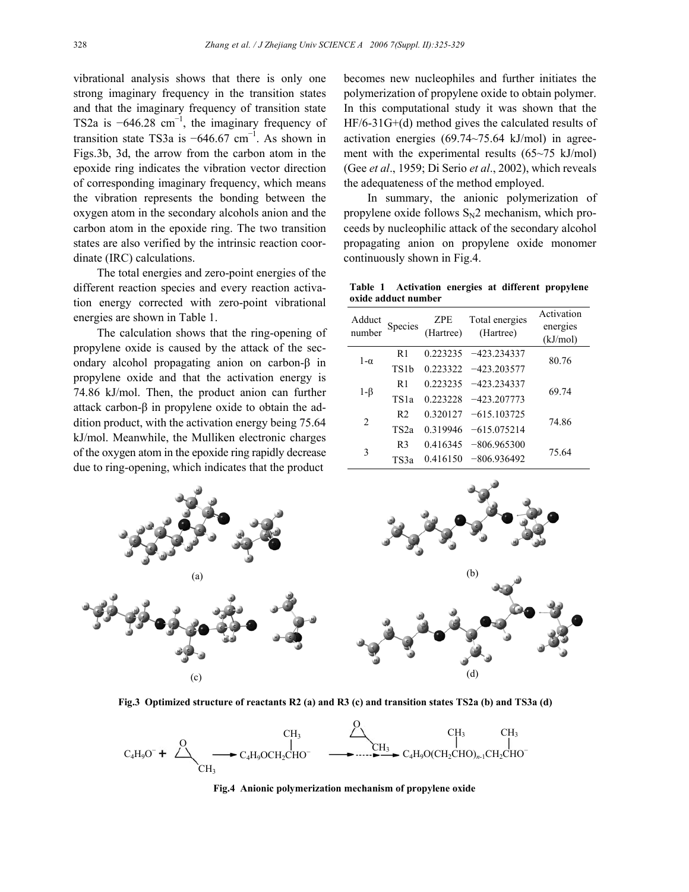vibrational analysis shows that there is only one strong imaginary frequency in the transition states and that the imaginary frequency of transition state TS2a is  $-646.28$  cm<sup>-1</sup>, the imaginary frequency of transition state TS3a is  $-646.67$  cm<sup>-1</sup>. As shown in Figs.3b, 3d, the arrow from the carbon atom in the epoxide ring indicates the vibration vector direction of corresponding imaginary frequency, which means the vibration represents the bonding between the oxygen atom in the secondary alcohols anion and the carbon atom in the epoxide ring. The two transition states are also verified by the intrinsic reaction coordinate (IRC) calculations.

The total energies and zero-point energies of the different reaction species and every reaction activation energy corrected with zero-point vibrational energies are shown in Table 1.

The calculation shows that the ring-opening of propylene oxide is caused by the attack of the secondary alcohol propagating anion on carbon-β in propylene oxide and that the activation energy is 74.86 kJ/mol. Then, the product anion can further attack carbon-β in propylene oxide to obtain the addition product, with the activation energy being 75.64 kJ/mol. Meanwhile, the Mulliken electronic charges of the oxygen atom in the epoxide ring rapidly decrease due to ring-opening, which indicates that the product

becomes new nucleophiles and further initiates the polymerization of propylene oxide to obtain polymer. In this computational study it was shown that the HF/6-31G+(d) method gives the calculated results of activation energies (69.74~75.64 kJ/mol) in agreement with the experimental results (65~75 kJ/mol) (Gee *et al*., 1959; Di Serio *et al*., 2002), which reveals the adequateness of the method employed.

In summary, the anionic polymerization of propylene oxide follows  $S_N2$  mechanism, which proceeds by nucleophilic attack of the secondary alcohol propagating anion on propylene oxide monomer continuously shown in Fig.4.

**Table 1 Activation energies at different propylene oxide adduct number** 

| Adduct<br>number | Species           | ZPE<br>(Hartree) | Total energies<br>(Hartree) | Activation<br>energies<br>(kJ/mol) |
|------------------|-------------------|------------------|-----------------------------|------------------------------------|
| $1-\alpha$       | R1                | 0.223235         | $-423.234337$               | 80.76                              |
|                  | TS <sub>1</sub> b | 0.223322         | $-423.203577$               |                                    |
| $1-\beta$        | R <sub>1</sub>    | 0.223235         | $-423.234337$               | 69.74                              |
|                  | TS <sub>1</sub> a | 0.223228         | $-423.207773$               |                                    |
| $\overline{2}$   | R <sub>2</sub>    | 0.320127         | $-615.103725$               | 74.86                              |
|                  | TS <sub>2a</sub>  | 0.319946         | $-615.075214$               |                                    |
| 3                | R <sub>3</sub>    | 0.416345         | $-806.965300$               | 75.64                              |
|                  | TS3a              | 0.416150         | $-806.936492$               |                                    |



**Fig.3 Optimized structure of reactants R2 (a) and R3 (c) and transition states TS2a (b) and TS3a (d)**



**Fig.4 Anionic polymerization mechanism of propylene oxide**